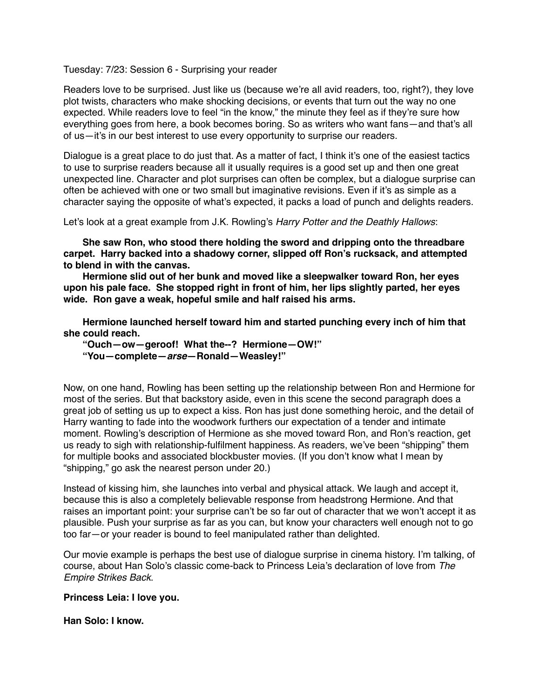Tuesday: 7/23: Session 6 - Surprising your reader

Readers love to be surprised. Just like us (because we're all avid readers, too, right?), they love plot twists, characters who make shocking decisions, or events that turn out the way no one expected. While readers love to feel "in the know," the minute they feel as if they're sure how everything goes from here, a book becomes boring. So as writers who want fans—and that's all of us—it's in our best interest to use every opportunity to surprise our readers.

Dialogue is a great place to do just that. As a matter of fact, I think it's one of the easiest tactics to use to surprise readers because all it usually requires is a good set up and then one great unexpected line. Character and plot surprises can often be complex, but a dialogue surprise can often be achieved with one or two small but imaginative revisions. Even if it's as simple as a character saying the opposite of what's expected, it packs a load of punch and delights readers.

Let's look at a great example from J.K. Rowling's *Harry Potter and the Deathly Hallows*:

**She saw Ron, who stood there holding the sword and dripping onto the threadbare carpet. Harry backed into a shadowy corner, slipped off Ron's rucksack, and attempted to blend in with the canvas.**

**Hermione slid out of her bunk and moved like a sleepwalker toward Ron, her eyes upon his pale face. She stopped right in front of him, her lips slightly parted, her eyes wide. Ron gave a weak, hopeful smile and half raised his arms.**

**Hermione launched herself toward him and started punching every inch of him that she could reach.**

**"Ouch—ow—geroof! What the--? Hermione—OW!" "You—complete—***arse***—Ronald—Weasley!"**

Now, on one hand, Rowling has been setting up the relationship between Ron and Hermione for most of the series. But that backstory aside, even in this scene the second paragraph does a great job of setting us up to expect a kiss. Ron has just done something heroic, and the detail of Harry wanting to fade into the woodwork furthers our expectation of a tender and intimate moment. Rowling's description of Hermione as she moved toward Ron, and Ron's reaction, get us ready to sigh with relationship-fulfilment happiness. As readers, we've been "shipping" them for multiple books and associated blockbuster movies. (If you don't know what I mean by "shipping," go ask the nearest person under 20.)

Instead of kissing him, she launches into verbal and physical attack. We laugh and accept it, because this is also a completely believable response from headstrong Hermione. And that raises an important point: your surprise can't be so far out of character that we won't accept it as plausible. Push your surprise as far as you can, but know your characters well enough not to go too far—or your reader is bound to feel manipulated rather than delighted.

Our movie example is perhaps the best use of dialogue surprise in cinema history. I'm talking, of course, about Han Solo's classic come-back to Princess Leia's declaration of love from *The Empire Strikes Back*.

**Princess Leia: I love you.** 

**Han Solo: I know.**